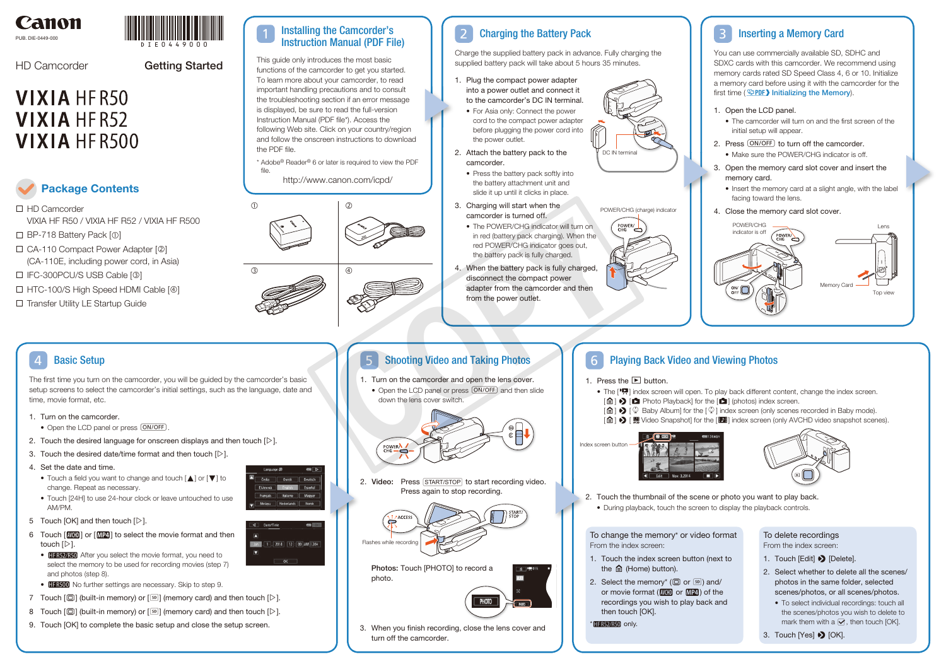

PUB. DIE-0449-000

DIE0449000

# **VIXIA HFR50 VIXIA HFR52 VIXIA HFR500**



#### Charging the Battery Pack  $\boxed{2}$

HD Camcorder

Charge the supplied battery pack in advance. Fully charging the supplied battery pack will take about 5 hours 35 minutes.

- 1. Plug the compact power adapter into a power outlet and connect it to the camcorder's DC IN terminal.
	- For Asia only: Connect the power cord to the compact power adapter before plugging the power cord into the power outlet.
- 2. Attach the battery pack to the camcorder.
	- Press the battery pack softly into the battery attachment unit and slide it up until it clicks in place.
- 3. Charging will start when the camcorder is turned off.
	- The POWER/CHG indicator will turn on in red (battery pack charging). When the red POWER/CHG indicator goes out, the battery pack is fully charged.
- 4. When the battery pack is fully charged, disconnect the compact power adapter from the camcorder and then from the power outlet.

DC IN terminal

□ HD Camcorder VIXIA HF R50 / VIXIA HF R52 / VIXIA HF R500 **Package Contents**

- $\Box$  BP-718 Battery Pack  $[0]$
- $\Box$  CA-110 Compact Power Adapter  $[@]$ (CA-110E, including power cord, in Asia)
- IFC-300PCU/S USB Cable [3]
- □ HTC-100/S High Speed HDMI Cable [4]

□ Transfer Utility LE Startup Guide

POWER/CHG (charge) indicator



You can use commercially available SD, SDHC and SDXC cards with this camcorder. We recommend using memory cards rated SD Speed Class 4, 6 or 10. Initialize a memory card before using it with the camcorder for the first time ( $\mathfrak{P}\text{PDF}$ ) Initializing the Memory).

The first time you turn on the camcorder, you will be guided by the camcorder's basic setup screens to select the camcorder's initial settings, such as the language, date and time, movie format, etc.

> 2. Video: Press START/STOP to start recording video. Press again to stop recording.

#### Basic Setup 4

- 1. Turn on the camcorder.
- Open the LCD panel or press  $(ON/OFF)$
- 2. Touch the desired language for onscreen displays and then touch  $[\triangleright]$ .
- 3. Touch the desired date/time format and then touch  $[\triangleright]$ .
- 4. Set the date and time.
	- Touch a field you want to change and touch  $[\triangle]$  or  $[\blacktriangledown]$  to change. Repeat as necessary.
	- Touch [24H] to use 24-hour clock or leave untouched to use AM/PM.
- 5 Touch [OK] and then touch  $[D]$ .
- 6 Touch  $\lceil \frac{N(T)}{N(T)} \rceil$  or  $\lceil \frac{N(T)}{N(T)} \rceil$  to select the movie format and then touch  $[D]$ .
	- **HFR52/R50** After you select the movie format, you need to select the memory to be used for recording movies (step 7) and photos (step 8).
- **IFR500** No further settings are necessary. Skip to step 9.
- 7 Touch  $[\mathbb{Q}]$  (built-in memory) or  $[\mathbb{S}$  (memory card) and then touch  $[\triangleright]$ .
- 8 Touch  $[\vec{w}]$  (built-in memory) or  $[s]$  (memory card) and then touch  $[\triangleright]$ .
- 9. Touch [OK] to complete the basic setup and close the setup screen.





# **5** Shooting Video and Taking Photos **1** 6

- 
- To delete recordings From the index screen:
- 1. Touch [Edit] > [Delete].
- 2. Select whether to delete all the scenes/ photos in the same folder, selected scenes/photos, or all scenes/photos.
	- To select individual recordings: touch all the scenes/photos you wish to delete to mark them with a  $\blacktriangledown$ , then touch [OK].
- 3. Touch [Yes]  $\bigotimes$  [OK].

# 1. Open the LCD panel.

#### Inserting a Memory Card 3

- The camcorder will turn on and the first screen of the initial setup will appear.
- 2. Press  $\overline{(ON/OFF)}$  to turn off the camcorder. • Make sure the POWER/CHG indicator is off.
- 3. Open the memory card slot cover and insert the memory card.
	- Insert the memory card at a slight angle, with the label facing toward the lens.
- 4. Close the memory card slot cover.

- 1. Turn on the camcorder and open the lens cover.
- Open the LCD panel or press (ON/OFF) and then slide down the lens cover switch.



Photos: Touch [PHOTO] to record a photo.



3. When you finish recording, close the lens cover and turn off the camcorder.

# **Playing Back Video and Viewing Photos**

- 1. Press the  $\blacktriangleright$  button.
	- $\left[\bigcirc\right]$   $\triangleright$   $\left[\bigcirc\right]$  Photo Playback] for the  $\left[\bigcirc\right]$  (photos) index screen.
	-

To change the memory\* or video format From the index screen:

- 1. Touch the index screen button (next to the  $\hat{m}$  (Home) button).
- 2. Select the memory<sup>\*</sup> ( $\Box$ ) or  $\boxed{\text{sp}}$ ) and/ or movie format  $(\overline{NCD})$  or  $\overline{MP4}$ ) of the recordings you wish to play back and then touch [OK].

 $*$  HF R52/R50 only.

2. Touch the thumbnail of the scene or photo you want to play back. • During playback, touch the screen to display the playback controls.



This guide only introduces the most basic functions of the camcorder to get you started. To learn more about your camcorder, to read important handling precautions and to consult the troubleshooting section if an error message is displayed, be sure to read the full-version Instruction Manual (PDF file\*). Access the following Web site. Click on your country/region and follow the onscreen instructions to download the PDF file.

\* Adobe® Reader® 6 or later is required to view the PDF file.

http://www.canon.com/icpd/

# Getting Started









- The [PR] index screen will open. To play back different content, change the index screen.
- $[\hat{\mathbf{\omega}}]$   $\blacklozenge$   $[\hat{\heartsuit}]$  Baby Album] for the  $[\hat{\heartsuit}]$  index screen (only scenes recorded in Baby mode).
- [命] > [ Regivideo Snapshot] for the [DH] index screen (only AVCHD video snapshot scenes).